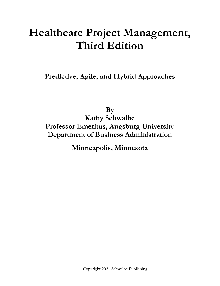# **Healthcare Project Management, Third Edition**

**Predictive, Agile, and Hybrid Approaches**

**By Kathy Schwalbe Professor Emeritus, Augsburg University Department of Business Administration**

**Minneapolis, Minnesota**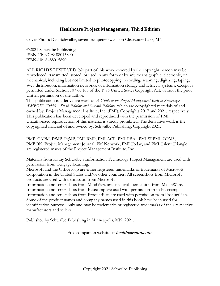#### **Healthcare Project Management, Third Edition**

Cover Photo: Dan Schwalbe, seven trumpeter swans on Clearwater Lake, MN

©2021 Schwalbe Publishing ISBN-13: 9798488015890 ISBN-10: 8488015890

ALL RIGHTS RESERVED. No part of this work covered by the copyright hereon may be reproduced, transmitted, stored, or used in any form or by any means graphic, electronic, or mechanical, including but not limited to photocopying, recording, scanning, digitizing, taping, Web distribution, information networks, or information storage and retrieval systems, except as permitted under Section 107 or 108 of the 1976 United States Copyright Act, without the prior written permission of the author.

This publication is a derivative work of *A Guide to the Project Management Body of Knowledge (PMBOK*® *Guide) – Sixth Edition and Seventh Editions*, which are copyrighted materials of and owned by, Project Management Institute, Inc. (PMI), Copyrights 2017 and 2021, respectively. This publication has been developed and reproduced with the permission of PMI. Unauthorized reproduction of this material is strictly prohibited. The derivative work is the copyrighted material of and owned by, Schwalbe Publishing, Copyright 2021.

PMP, CAPM, PfMP, PgMP, PMI-RMP, PMI-ACP, PMI-PBA , PMI-SPPMI, OPM3, PMBOK, Project Management Journal, PM Network, PMI Today, and PMI Talent Triangle are registered marks of the Project Management Institute, Inc.

Materials from Kathy Schwalbe's Information Technology Project Management are used with permission from Cengage Learning.

Microsoft and the Office logo are either registered trademarks or trademarks of Microsoft Corporation in the United States and/or other countries. All screenshots from Microsoft products are used with permission from Microsoft.

Information and screenshots from MindView are used with permission from MatchWare. Information and screenshots from Basecamp are used with permission from Basecamp. Information and screenshots from ProductPlan are used with permission from ProductPlan. Some of the product names and company names used in this book have been used for identification purposes only and may be trademarks or registered trademarks of their respective manufacturers and sellers.

Published by Schwalbe Publishing in Minneapolis, MN, 2021.

Free companion website at **healthcarepm.com.**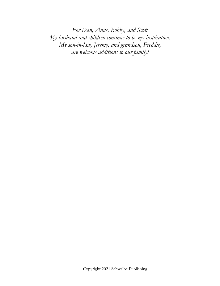*For Dan, Anne, Bobby, and Scott My husband and children continue to be my inspiration. My son-in-law, Jeremy, and grandson, Freddie, are welcome additions to our family!*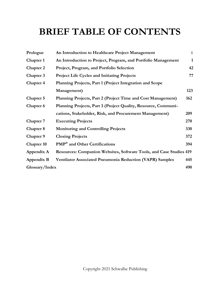## **BRIEF TABLE OF CONTENTS**

| Prologue       | An Introduction to Healthcare Project Management                    | $\mathbf{i}$ |
|----------------|---------------------------------------------------------------------|--------------|
| Chapter 1      | An Introduction to Project, Program, and Portfolio Management       | $\mathbf{1}$ |
| Chapter 2      | Project, Program, and Portfolio Selection                           | 42           |
| Chapter 3      | <b>Project Life Cycles and Initiating Projects</b>                  | 77           |
| Chapter 4      | Planning Projects, Part 1 (Project Integration and Scope            |              |
|                | Management)                                                         | 123          |
| Chapter 5      | Planning Projects, Part 2 (Project Time and Cost Management)        | 162          |
| Chapter 6      | Planning Projects, Part 3 (Project Quality, Resource, Communi-      |              |
|                | cations, Stakeholder, Risk, and Procurement Management)             | 209          |
| Chapter 7      | <b>Executing Projects</b>                                           | 270          |
| Chapter 8      | <b>Monitoring and Controlling Projects</b>                          | 330          |
| Chapter 9      | <b>Closing Projects</b>                                             | 372          |
| Chapter 10     | PMP <sup>®</sup> and Other Certifications                           | 394          |
| Appendix A     | Resources: Companion Websites, Software Tools, and Case Studies 419 |              |
| Appendix B     | <b>Ventilator Associated Pneumonia Reduction (VAPR) Samples</b>     | 445          |
| Glossary/Index |                                                                     | 490          |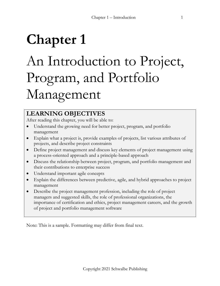# **Chapter 1** An Introduction to Project, Program, and Portfolio Management

### **LEARNING OBJECTIVES**

After reading this chapter, you will be able to:

- Understand the growing need for better project, program, and portfolio management
- Explain what a project is, provide examples of projects, list various attributes of projects, and describe project constraints
- Define project management and discuss key elements of project management using a process-oriented approach and a principle-based approach
- Discuss the relationship between project, program, and portfolio management and their contributions to enterprise success
- Understand important agile concepts
- Explain the differences between predictive, agile, and hybrid approaches to project management
- Describe the project management profession, including the role of project managers and suggested skills, the role of professional organizations, the importance of certification and ethics, project management careers, and the growth of project and portfolio management software

Note: This is a sample. Formatting may differ from final text.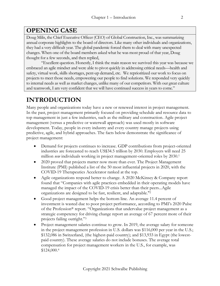### **OPENING CASE**

Doug Milis, the Chief Executive Officer (CEO) of Global Construction, Inc., was summarizing annual corporate highlights to the board of directors. Like many other individuals and organizations, they had a very difficult year. The global pandemic forced them to deal with many unexpected changes. When one of the board members asked what he was most proud of that year, Doug thought for a few seconds, and then replied,

"Excellent question. Honestly, I think the main reason we survived this year was because we embraced an agile mindset and were able to pivot quickly in addressing critical needs—health and safety, virtual work, skills shortages, pent-up demand, etc. We reprioritized our work to focus on projects to meet those needs, empowering our people to find solutions. We responded very quickly to internal needs as well as market changes, unlike many of our competitors. With our great culture and teamwork, I am very confident that we will have continued success in years to come."

### **INTRODUCTION**

Many people and organizations today have a new or renewed interest in project management. In the past, project management primarily focused on providing schedule and resource data to top management in just a few industries, such as the military and construction. Agile project management (versus a predictive or waterwall approach) was used mostly in software development. Today, people in every industry and every country manage projects using predictive, agile, and hybrid approaches. The facts below demonstrate the significance of project management:

- Demand for projects continues to increase. GDP contributions from project-oriented industries are forecasted to reach US\$34.5 trillion by 2030. Employers will need 25 million *new* individuals working in project management-oriented roles by 2030. 1
- 2020 proved that projects matter now more than ever. The Project Management Institute (PMI) published a list of the 50 most influential projects in 2020, with the COVID-19 Therapeutics Accelerator ranked at the top.
- Agile organizations respond better to change. A 2020 McKinsey & Company report found that "Companies with agile practices embedded in their operating models have managed the impact of the COVID-19 crisis better than their peers...Agile organizations are designed to be fast, resilient, and adaptable." 2
- Good project management helps the bottom line. An average 11.4 percent of investment is wasted due to poor project performance, according to PMI's 2020 Pulse of the Profession® report. "Organizations that undervalue project management as a strategic competency for driving change report an average of 67 percent more of their projects failing outright." 3
- Project management salaries continue to grow. In 2019, the average salary for someone in the project management profession in U.S. dollars was \$116,000 per year in the U.S.; \$132,086 in Switzerland, (the highest-paid country); and \$13,933 in Egypt (the lowestpaid country). These average salaries do not include bonuses. The average total compensation for project management workers in the U.S., for example, was \$124,000.4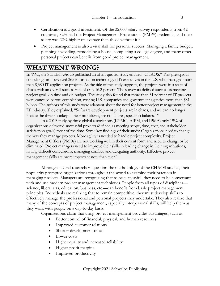- Certification is a good investment. Of the 32,000 salary survey respondents from 42
- countries, 82% had the Project Management Professional (PMP®) credential, and their salary was 22% higher on average than those without it.<sup>5</sup>
- Project management is also a vital skill for personal success. Managing a family budget, planning a wedding, remodeling a house, completing a college degree, and many other personal projects can benefit from good project management.

### **WHAT WENT WRONG?**

In 1995, the Standish Group published an often-quoted study entitled "CHAOS." This prestigious consulting firm surveyed 365 information technology (IT) executives in the U.S. who managed more than 8,380 IT application projects. As the title of the study suggests, the projects were in a state of chaos with an overall success rate of only 16.2 percent. The surveyors defined success as meeting project goals on time and on budget. The study also found that more than 31 percent of IT projects were canceled before completion, costing U.S. companies and government agencies more than \$81 billion. The authors of this study were adamant about the need for better project management in the IT industry. They explained, "Software development projects are in chaos, and we can no longer imitate the three monkeys—hear no failures, see no failures, speak no failures." <sup>6</sup>

In a 2019 study by three global associations (KPMG, AIPM, and IPMA) only 19% of organizations delivered successful projects (defined as meeting scope, time, cost, and stakeholder satisfaction goals) most of the time. Some key findings of their study: Organizations need to change the way they manage projects. More agility is needed to handle project complexity. Project Management Offices (PMOs) are not working well in their current form and need to change or be eliminated. Project managers need to improve their skills in leading change in their organizations, having difficult conversions, managing conflict, and delegating authority. Effective project management skills are more important now than ever.<sup>7</sup>

Although several researchers question the methodology of the CHAOS studies, their popularity prompted organizations throughout the world to examine their practices in managing projects. Managers are recognizing that to be successful, they need to be conversant with and use modern project management techniques. People from all types of disciplines science, liberal arts, education, business, etc.—can benefit from basic project management principles. Individuals are realizing that to remain competitive, they must develop skills to effectively manage the professional and personal projects they undertake. They also realize that many of the concepts of project management, especially interpersonal skills, will help them as they work with people on a day-to-day basis.

Organizations claim that using project management provides advantages, such as:

- Better control of financial, physical, and human resources
- Improved customer relations
- Shorter development times
- Lower costs
- Higher quality and increased reliability
- Higher profit margins
- Improved productivity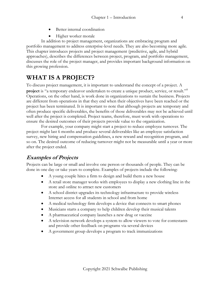- Better internal coordination
- Higher worker morale

In addition to project management, organizations are embracing program and portfolio management to address enterprise-level needs. They are also becoming more agile. This chapter introduces projects and project management (predictive, agile, and hybrid approaches), describes the differences between project, program, and portfolio management, discusses the role of the project manager, and provides important background information on this growing profession.

### **WHAT IS A PROJECT?**

To discuss project management, it is important to understand the concept of a project. A **project** is "a temporary endeavor undertaken to create a unique product, service, or result."<sup>8</sup> Operations, on the other hand, is work done in organizations to sustain the business. Projects are different from operations in that they end when their objectives have been reached or the project has been terminated. It is important to note that although projects are temporary and often produce specific deliverables, the benefits of those deliverables may not be achieved until well after the project is completed. Project teams, therefore, must work with operations to ensure the desired outcomes of their projects provide value to the organization.

For example, your company might start a project to reduce employee turnover. The project might last 6 months and produce several deliverables like an employee satisfaction survey, new hiring and compensation guidelines, a new reward and recognition program, and so on. The desired outcome of reducing turnover might not be measurable until a year or more after the project ended.

### **Examples of Projects**

Projects can be large or small and involve one person or thousands of people. They can be done in one day or take years to complete. Examples of projects include the following:

- A young couple hires a firm to design and build them a new house
- A retail store manager works with employees to display a new clothing line in the store and online to attract new customers
- A school district upgrades its technology infrastructure to provide wireless Internet access for all students in school and from home
- A medical technology firm develops a device that connects to smart phones
- Musicians starts a company to help children develop their musical talents
- A pharmaceutical company launches a new drug or vaccine
- A television network develops a system to allow viewers to vote for contestants and provide other feedback on programs via several devices
- A government group develops a program to track immunizations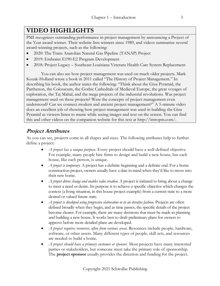### **VIDEO HIGHLIGHTS**

PMI recognizes outstanding performance in project management by announcing a Project of the Year award winner. Their website lists winners since 1989, and videos summarize several award-winning projects, such as the following:

- 2020: The Trans Anatolian Natural Gas Pipeline (TANAP) Project
- 2019: Embraier E190-E2 Program Development
- 2018: Project Legacy Southeast Louisiana Veterans Health Care System Replacement

You can also see how project management was used on much older projects. Mark Kozak-Holland wrote a book in 2011 called "The History of Project Management." In describing his book, the author states the following: "Think about the Giza Pyramid, the Parthenon, the Colosseum, the Gothic Cathedrals of Medieval Europe, the great voyages of exploration, the Taj Mahal, and the mega projects of the industrial revolutions. Was project management used on these projects? Were the concepts of project management even understood? Can we connect modern and ancient project management?" A 5-minute video does an excellent job of showing how project management was used in building the Giza Pyramid as viewers listen to music while seeing images and text on the screen. You can find this and other videos on the companion website for this text at http://intropm.com/.

### **Project Attributes**

As you can see, projects come in all shapes and sizes. The following attributes help to further define a project:

- *A project has a unique purpose.* Every project should have a well-defined objective. For example, many people hire firms to design and build a new house, but each house, like each person, is unique.
- *A project is temporary.* A project has a definite beginning and a definite end. For a home construction project, owners usually have a date in mind when they'd like to move into their new home.
- *A project drives change and enables value creation.* A project is initiated to bring about a change to meet a need or desire. Its purpose is to achieve a specific objective which changes the context (a living situation, in this house project example) from a current state to a more desired or valued future state.
- *A project is developed using progressive elaboration or in an iterative fashion.* Projects are often defined broadly when they begin, and as time passes, the specific details of the project become clearer. For example, there are many decisions that must be made in planning and building a new house. It works best to draft preliminary plans for owners to approve before more detailed plans are developed.
- *A project requires resources, often from various areas.* Resources include people, hardware, software, or other assets. Many different types of people, skill sets, and resources are needed to build a home.
- *A project should have a primary customer or sponsor.* Most projects have many interested parties or stakeholders, but someone must take the primary role of sponsorship. The **project sponsor** usually provides the direction and funding for the project.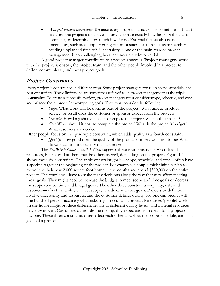• *A project involves uncertainty.* Because every project is unique, it is sometimes difficult to define the project's objectives clearly, estimate exactly how long it will take to complete, or determine how much it will cost. External factors also cause uncertainty, such as a supplier going out of business or a project team member needing unplanned time off. Uncertainty is one of the main reasons project management is so challenging, because uncertainty invokes risk.

A good project manager contributes to a project's success. **Project managers** work with the project sponsors, the project team, and the other people involved in a project to define, communicate, and meet project goals.

### **Project Constraints**

Every project is constrained in different ways. Some project managers focus on scope, schedule, and cost constraints. These limitations are sometimes referred to in project management as the **triple constraint**. To create a successful project, project managers must consider scope, schedule, and cost and balance these three often-competing goals. They must consider the following:

- *Scope*: What work will be done as part of the project? What unique product, service, or result does the customer or sponsor expect from the project?
- Schedule: How long should it take to complete the project? What is the timeline?
- *Cost*: What should it cost to complete the project? What is the project's budget? What resources are needed?

Other people focus on the quadruple constraint, which adds quality as a fourth constraint.

• *Quality*: How good does the quality of the products or services need to be? What do we need to do to satisfy the customer?

The *PMBOK® Guide - Sixth Edition* suggests these four constraints *plus* risk and resources, but states that there may be others as well, depending on the project. Figure 1-1 shows these six constraints. The triple constraint goals—scope, schedule, and cost—often have a specific target at the beginning of the project. For example, a couple might initially plan to move into their new 2,000 square foot home in six months and spend \$300,000 on the entire project. The couple will have to make many decisions along the way that may affect meeting those goals. They might need to increase the budget to meet scope and time goals or decrease the scope to meet time and budget goals. The other three constraints—quality, risk, and resources—affect the ability to meet scope, schedule, and cost goals. Projects by definition involve uncertainty and resources, and the customer defines quality. No one can predict with one hundred percent accuracy what risks might occur on a project. Resources (people) working on the house might produce different results at different quality levels, and material resources may vary as well. Customers cannot define their quality expectations in detail for a project on day one. These three constraints often affect each other as well as the scope, schedule, and cost goals of a project.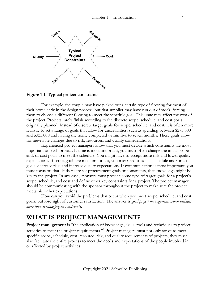

**Figure 1-1. Typical project constraints**

For example, the couple may have picked out a certain type of flooring for most of their home early in the design process, but that supplier may have run out of stock, forcing them to choose a different flooring to meet the schedule goal. This issue may affect the cost of the project. Projects rarely finish according to the discrete scope, schedule, and cost goals originally planned. Instead of discrete target goals for scope, schedule, and cost, it is often more realistic to set a range of goals that allow for uncertainties, such as spending between \$275,000 and \$325,000 and having the home completed within five to seven months. These goals allow for inevitable changes due to risk, resources, and quality considerations.

Experienced project managers know that you must decide which constraints are most important on each project. If time is most important, you must often change the initial scope and/or cost goals to meet the schedule. You might have to accept more risk and lower quality expectations. If scope goals are most important, you may need to adjust schedule and/or cost goals, decrease risk, and increase quality expectations. If communication is most important, you must focus on that. If there are set procurement goals or constraints, that knowledge might be key to the project. In any case, sponsors must provide some type of target goals for a project's scope, schedule, and cost and define other key constraints for a project. The project manager should be communicating with the sponsor throughout the project to make sure the project meets his or her expectations.

How can you avoid the problems that occur when you meet scope, schedule, and cost goals, but lose sight of customer satisfaction? The answer is *good project management, which includes more than meeting project constraints*.

### **WHAT IS PROJECT MANAGEMENT?**

**Project management** is "the application of knowledge, skills, tools and techniques to project activities to meet the project requirements."<sup>9</sup> Project managers must not only strive to meet specific scope, schedule, cost, resource, risk, and quality requirements of projects, they must also facilitate the entire process to meet the needs and expectations of the people involved in or affected by project activities.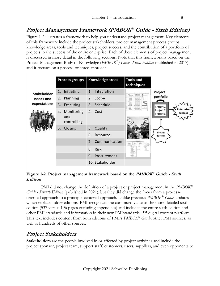### **Project Management Framework (PMBOK***®* **Guide - Sixth Edition)**

Figure 1-2 illustrates a framework to help you understand project management. Key elements of this framework include the project stakeholders, project management process groups, knowledge areas, tools and techniques, project success, and the contribution of a portfolio of projects to the success of the entire enterprise. Each of these elements of project management is discussed in more detail in the following sections. Note that this framework is based on the Project Management Body of Knowledge (*PMBOK®) Guide -Sixth Edition* (published in 2017), and it focuses on a process-oriented approach.

|                    |    | Process groups                   |    | Knowledge areas | <b>Tools and</b><br>techniques |                        |  |
|--------------------|----|----------------------------------|----|-----------------|--------------------------------|------------------------|--|
| <b>Stakeholder</b> | 1. | Initiating                       | 1. | Integration     |                                | Project                |  |
| needs and          |    | 2. Planning                      |    | 2. Scope        |                                | portfolio              |  |
| expectations       | 3. | Executing                        |    | 3. Schedule     |                                | Project 1              |  |
|                    | 4. | Monitoring<br>and<br>controlling |    | 4. Cost         |                                | Project 2<br>Project 3 |  |
|                    | 5. | Closing                          | 5. | Quality         |                                |                        |  |
|                    |    |                                  | 6. | Resource        |                                | Project<br>success     |  |
|                    |    |                                  | 7. | Communication   | anas<br>Contra<br>$-32$        |                        |  |
|                    |    |                                  |    | 8. Risk         |                                |                        |  |
|                    |    |                                  |    | 9. Procurement  |                                |                        |  |
|                    |    |                                  |    | 10. Stakeholder |                                |                        |  |

#### **Figure 1-2. Project management framework based on the PMBOK** *®* **Guide - Sixth Edition**

PMI did not change the definition of a project or project management in the *PMBOK® Guide - Seventh Edition* (published in 2021), but they did change the focus from a processoriented approach to a principle-centered approach. Unlike previous *PMBOK® Guide* updates which replaced older editions, PMI recognizes the continued value of the more detailed sixth edition (537 versus 196 pages excluding appendices) and includes the entire sixth edition and other PMI standards and information in their new PMIstandards+™ digital content platform. This text includes content from both editions of PMI's *PMBOK® Guide*, other PMI sources, as well as hundreds of other sources.

### **Project Stakeholders**

**Stakeholders** are the people involved in or affected by project activities and include the project sponsor, project team, support staff, customers, users, suppliers, and even opponents to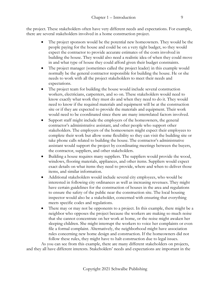the project. These stakeholders often have very different needs and expectations. For example, there are several stakeholders involved in a home construction project.

- The project sponsors would be the potential new homeowners. They would be the people paying for the house and could be on a very tight budget, so they would expect the contractor to provide accurate estimates of the costs involved in building the house. They would also need a realistic idea of when they could move in and what type of house they could afford given their budget constraints.
- The project manager (sometimes called the project leader) in this example would normally be the general contractor responsible for building the house. He or she needs to work with all the project stakeholders to meet their needs and expectations.
- The project team for building the house would include several construction workers, electricians, carpenters, and so on. These stakeholders would need to know exactly what work they must do and when they need to do it. They would need to know if the required materials and equipment will be at the construction site or if they are expected to provide the materials and equipment. Their work would need to be coordinated since there are many interrelated factors involved.
- Support staff might include the employers of the homeowners, the general contractor's administrative assistant, and other people who support other stakeholders. The employers of the homeowners might expect their employees to complete their work but allow some flexibility so they can visit the building site or take phone calls related to building the house. The contractor's administrative assistant would support the project by coordinating meetings between the buyers, the contractor, suppliers, and other stakeholders.
- Building a house requires many suppliers. The suppliers would provide the wood, windows, flooring materials, appliances, and other items. Suppliers would expect exact details on what items they need to provide, where and when to deliver those items, and similar information.
- Additional stakeholders would include several city employees, who would be interested in following city ordinances as well as increasing revenues. They might have certain guidelines for the construction of houses in the area and regulations to ensure the safety of the public near the construction site. The local housing inspector would also be a stakeholder, concerned with ensuring that everything meets specific codes and regulations.
- There may or may not be opponents to a project. In this example, there might be a neighbor who opposes the project because the workers are making so much noise that she cannot concentrate on her work at home, or the noise might awaken her sleeping children. She might interrupt the workers to voice her complaints or even file a formal complaint. Alternatively, the neighborhood might have association rules concerning new home design and construction. If the homeowners did not follow these rules, they might have to halt construction due to legal issues.

As you can see from this example, there are many different stakeholders on projects, and they all have different interests. Stakeholders' needs and expectations are important in the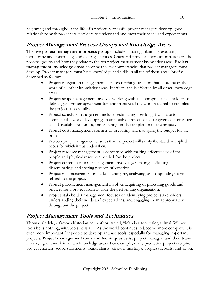beginning and throughout the life of a project. Successful project managers develop good relationships with project stakeholders to understand and meet their needs and expectations.

### **Project Management Process Groups and Knowledge Areas**

The five **project management process groups** include initiating, planning, executing, monitoring and controlling, and closing activities. Chapter 3 provides more information on the process groups and how they relate to the ten project management knowledge areas. **Project management knowledge areas** describe the key competencies that project managers must develop. Project managers must have knowledge and skills in all ten of these areas, briefly described as follows:

- Project integration management is an overarching function that coordinates the work of all other knowledge areas. It affects and is affected by all other knowledge areas.
- Project scope management involves working with all appropriate stakeholders to define, gain written agreement for, and manage all the work required to complete the project successfully.
- Project schedule management includes estimating how long it will take to complete the work, developing an acceptable project schedule given cost-effective use of available resources, and ensuring timely completion of the project.
- Project cost management consists of preparing and managing the budget for the project.
- Project quality management ensures that the project will satisfy the stated or implied needs for which it was undertaken.
- Project resource management is concerned with making effective use of the people and physical resources needed for the project.
- Project communications management involves generating, collecting, disseminating, and storing project information.
- Project risk management includes identifying, analyzing, and responding to risks related to the project.
- Project procurement management involves acquiring or procuring goods and services for a project from outside the performing organization.
- Project stakeholder management focuses on identifying project stakeholders, understanding their needs and expectations, and engaging them appropriately throughout the project.

### **Project Management Tools and Techniques**

Thomas Carlyle, a famous historian and author, stated, "Man is a tool-using animal. Without tools he is nothing, with tools he is all." As the world continues to become more complex, it is even more important for people to develop and use tools, especially for managing important projects. **Project management tools and techniques** assist project managers and their teams in carrying out work in all ten knowledge areas. For example, many predictive projects require project charters, scope statements, Gantt charts, kick-off meetings, progress reports, and so on.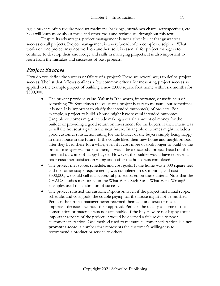Agile projects often require product roadmaps, backlogs, burndown charts, retrospectives, etc. You will learn more about these and other tools and techniques throughout this text.

Despite its advantages, project management is not a silver bullet that guarantees success on all projects. Project management is a very broad, often complex discipline. What works on one project may not work on another, so it is essential for project managers to continue to develop their knowledge and skills in managing projects. It is also important to learn from the mistakes and successes of past projects.

### **Project Success**

How do you define the success or failure of a project? There are several ways to define project success. The list that follows outlines a few common criteria for measuring project success as applied to the example project of building a new 2,000 square foot home within six months for \$300,000:

- The project provided value. **Value** is "the worth, importance, or usefulness of something." <sup>10</sup>. Sometimes the value of a project is easy to measure, but sometimes it is not. It is important to clarify the intended outcome(s) of projects. For example, a project to build a house might have several intended outcomes. Tangible outcomes might include making a certain amount of money for the builder or providing a good return on investment for the buyers, if their intent was to sell the house at a gain in the near future. Intangible outcomes might include a good customer satisfaction rating for the builder or the buyers simply being happy in their house in the future. If the couple liked their new home and neighborhood after they lived there for a while, even if it cost more or took longer to build or the project manager was rude to them, it would be a successful project based on the intended outcome of happy buyers. However, the builder would have received a poor customer satisfaction rating soon after the house was completed.
- The project met scope, schedule, and cost goals. If the home was 2,000 square feet and met other scope requirements, was completed in six months, and cost \$300,000, we could call it a successful project based on these criteria. Note that the CHAOS studies mentioned in the What Went Right? and What Went Wrong? examples used this definition of success.
- The project satisfied the customer/sponsor. Even if the project met initial scope, schedule, and cost goals, the couple paying for the house might not be satisfied. Perhaps the project manager never returned their calls and texts or made important decisions without their approval. Perhaps the quality of some of the construction or materials was not acceptable. If the buyers were not happy about important aspects of the project, it would be deemed a failure due to poor customer satisfaction. One method used to measure customer satisfaction is a **net promoter score**, a number that represents the customer's willingness to recommend a product or service to others.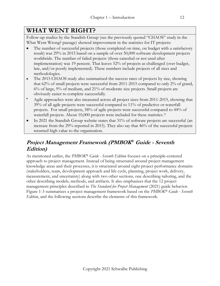### **WHAT WENT RIGHT?**

Follow-up studies by the Standish Group (see the previously quoted "CHAOS" study in the What Went Wrong? passage) showed improvement in the statistics for IT projects:

- The number of successful projects (those completed on time, on budget with a satisfactory result) was 29% in 2015 based on a sample of over 50,000 software development projects worldwide. The number of failed projects (those canceled or not used after implementation) was 19 percent. That leaves 52% of projects as challenged (over budget, late, and/or poorly implemented). These numbers include projects of all sizes and methodologies.
- The 2015 CHAOS study also summarized the success rates of projects by size, showing that 62% of small projects were successful from 2011-2015 compared to only 2% of grand, 6% of large, 9% of medium, and 21% of moderate size projects. Small projects are obviously easier to complete successfully.
- Agile approaches were also measured across all project sizes from 2011-2015, showing that 39% of all agile projects were successful compared to 11% of predictive or waterfall projects. For small projects, 58% of agile projects were successful compared to 44% of waterfall projects. About 10,000 projects were included for these statistics.<sup>11</sup>
- In 2021 the Standish Group website states that 31% of software projects are successful (an increase from the 29% reported in 2015). They also say that 46% of the successful projects returned high value to the organization.

### **Project Management Framework (PMBOK***®* **Guide - Seventh Edition)**

As mentioned earlier, the *PMBOK® Guide - Seventh Edition* focuses on a principle-centered approach to project management. Instead of being structured around project management knowledge areas and their processes, it is structured around eight project performance domains (stakeholders, team, development approach and life cycle, planning, project work, delivery, measurement, and uncertainty) along with two other sections, one describing tailoring, and the other describing models, methods, and artifacts. It also emphasizes that the 12 project management principles described in *The Standard for Project Management* (2021) guide behavior. Figure 1-3 summarizes a project management framework based on the *PMBOK® Guide - Seventh Edition*, and the following sections describe the elements of this framework.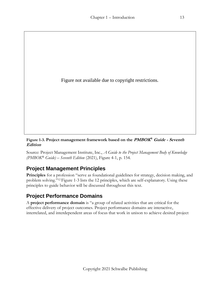Figure not available due to copyright restrictions.

#### **Figure 1-3. Project management framework based on the PMBOK** *®* **Guide - Seventh Edition**

Source: Project Management Institute, Inc., *A Guide to the Project Management Body of Knowledge (PMBOK® Guide) – Seventh Edition* (2021), Figure 4-1, p. 154.

### **Project Management Principles**

**Principles** for a profession "serve as foundational guidelines for strategy, decision making, and problem solving."12 Figure 1-3 lists the 12 principles, which are self-explanatory. Using these principles to guide behavior will be discussed throughout this text.

### **Project Performance Domains**

A **project performance domain** is "a group of related activities that are critical for the effective delivery of project outcomes. Project performance domains are interactive, interrelated, and interdependent areas of focus that work in unison to achieve desired project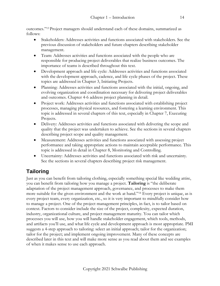outcomes."<sup>13</sup> Project managers should understand each of these domains, summarized as follows:

- Stakeholders: Addresses activities and functions associated with stakeholders. See the previous discussion of stakeholders and future chapters describing stakeholder management.
- Team: Addresses activities and functions associated with the people who are responsible for producing project deliverables that realize business outcomes. The importance of teams is described throughout this text.
- Development approach and life cycle: Addresses activities and functions associated with the development approach, cadence, and life cycle phases of the project. These topics are addressed in Chapter 3, Initiating Projects.
- Planning: Addresses activities and functions associated with the initial, ongoing, and evolving organization and coordination necessary for delivering project deliverables and outcomes. Chapter 4-6 address project planning in detail.
- Project work: Addresses activities and functions associated with establishing project processes, managing physical resources, and fostering a learning environment. This topic is addressed in several chapters of this text, especially in Chapter 7, Executing Projects.
- Delivery: Addresses activities and functions associated with delivering the scope and quality that the project was undertaken to achieve. See the sections in several chapters describing project scope and quality management.
- Measurement: Addresses activities and functions associated with assessing project performance and taking appropriate actions to maintain acceptable performance. This topic is addressed in detail in Chapter 8, Monitoring and Controlling.
- Uncertainty: Addresses activities and functions associated with risk and uncertainty. See the sections in several chapters describing project risk management.

### **Tailoring**

Just as you can benefit from tailoring clothing, especially something special like wedding attire, you can benefit from tailoring how you manage a project. **Tailoring** is "the deliberate adaptation of the project management approach, governance, and processes to make them more suitable for the given environment and the work at hand."<sup>14</sup> Every project is unique, as is every project team, every organization, etc., so it is very important to mindfully consider how to manage a project. One of the project management principles, in fact, is to tailor based on context. Factors to consider include the size of the project, complexity, expected duration, industry, organizational culture, and project management maturity. You can tailor which processes you will use, how you will handle stakeholder engagement, which tools, methods, and artifacts you'll use, and what life cycle and development approach is most appropriate. PMI suggests a 4-step approach to tailoring: select an initial approach; tailor for the organization; tailor for the project; and implement ongoing improvement. Many of these concepts are described later in this text and will make more sense as you read about them and see examples of when it makes sense to use each approach.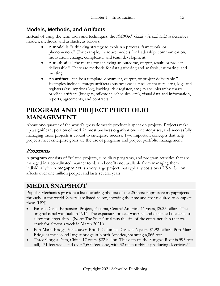### **Models, Methods, and Artifacts**

Instead of using the term tools and techniques, the *PMBOK® Guide - Seventh Edition* describes models, methods, and artifacts, as follows:

- A **model** is "a thinking strategy to explain a process, framework, or phenomenon." For example, there are models for leadership, communication, motivation, change, complexity, and team development.
- A **method** is "the means for achieving an outcome, output, result, or project deliverable." There are methods for data gathering and analysis, estimating, and meeting.
- An **artifact** "can be a template, document, output, or project deliverable." Examples include strategy artifacts (business cases, project charters, etc.), logs and registers (assumptions log, backlog, risk register, etc.), plans, hierarchy charts, baseline artifacts (budgets, milestone schedules, etc.), visual data and information, reports, agreements, and contracts.<sup>15</sup>

### **PROGRAM AND PROJECT PORTFOLIO MANAGEMENT**

About one-quarter of the world's gross domestic product is spent on projects. Projects make up a significant portion of work in most business organizations or enterprises, and successfully managing those projects is crucial to enterprise success. Two important concepts that help projects meet enterprise goals are the use of programs and project portfolio management.

### **Programs**

A **program** consists of "related projects, subsidiary programs, and program activities that are managed in a coordinated manner to obtain benefits not available from managing them individually."<sup>16</sup> A **megaproject** is a very large project that typically costs over US \$1 billion, affects over one million people, and lasts several years.

### **MEDIA SNAPSHOT**

Popular Mechanics provides a list (including photos) of the 25 most impressive megaprojects throughout the world. Several are listed below, showing the time and cost required to complete them (US\$):

- Panama Canal Expansion Project, Panama, Central America: 11 years, \$5.25 billion. The original canal was built in 1914. The expansion project widened and deepened the canal to allow for larger ships. (Note: The Suez Canal was the site of the container ship that was stuck for almost a week in March 2021.)
- Port Mann Bridge, Vancouver, British Columbia, Canada: 6 years, \$1.92 billion. Port Mann Bridge is the second largest bridge in North America, spanning 6,866 feet.
- Three Gorges Dam, China: 17 years, \$22 billion. This dam on the Yangtze River is 595 feet tall, 131 feet wide, and over 7,600 feet long, with 32 main turbines producing electricity.17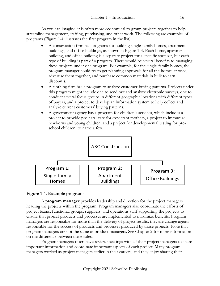As you can imagine, it is often more economical to group projects together to help streamline management, staffing, purchasing, and other work. The following are examples of programs (Figure 1-4 illustrates the first program in the list).

- A construction firm has programs for building single-family homes, apartment buildings, and office buildings, as shown in Figure 1-4. Each home, apartment building, and office building is a separate project for a specific sponsor, but each type of building is part of a program. There would be several benefits to managing these projects under one program. For example, for the single-family homes, the program manager could try to get planning approvals for all the homes at once, advertise them together, and purchase common materials in bulk to earn discounts.
- A clothing firm has a program to analyze customer-buying patterns. Projects under this program might include one to send out and analyze electronic surveys, one to conduct several focus groups in different geographic locations with different types of buyers, and a project to develop an information system to help collect and analyze current customers' buying patterns.
- A government agency has a program for children's services, which includes a project to provide pre-natal care for expectant mothers, a project to immunize newborns and young children, and a project for developmental testing for preschool children, to name a few.



#### **Figure 1-4. Example programs**

A **program manager** provides leadership and direction for the project managers heading the projects within the program. Program managers also coordinate the efforts of project teams, functional groups, suppliers, and operations staff supporting the projects to ensure that project products and processes are implemented to maximize benefits. Program managers are responsible for more than the delivery of project results; they are change agents responsible for the success of products and processes produced by those projects. Note that program managers are not the same as product managers. See Chapter 2 for more information on the difference between these roles.

Program managers often have review meetings with all their project managers to share important information and coordinate important aspects of each project. Many program managers worked as project managers earlier in their careers, and they enjoy sharing their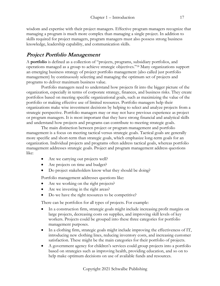wisdom and expertise with their project managers. Effective program managers recognize that managing a program is much more complex than managing a single project. In addition to skills required for project managers, program managers must also possess strong business knowledge, leadership capability, and communication skills.

### **Project Portfolio Management**

A **portfolio** is defined as a collection of "projects, programs, subsidiary portfolios, and operations managed as a group to achieve strategic objectives."<sup>18</sup> Many organizations support an emerging business strategy of project portfolio management (also called just portfolio management) by continuously selecting and managing the optimum set of projects and programs to deliver maximum business value.

Portfolio managers need to understand how projects fit into the bigger picture of the organization, especially in terms of corporate strategy, finances, and business risks. They create portfolios based on meeting specific organizational goals, such as maximizing the value of the portfolio or making effective use of limited resources. Portfolio managers help their organizations make wise investment decisions by helping to select and analyze projects from a strategic perspective. Portfolio managers may or may not have previous experience as project or program managers. It is most important that they have strong financial and analytical skills and understand how projects and programs can contribute to meeting strategic goals.

The main distinction between project or program management and portfolio management is a focus on meeting tactical versus strategic goals. Tactical goals are generally more specific and short-term than strategic goals, which emphasize long-term goals for an organization. Individual projects and programs often address tactical goals, whereas portfolio management addresses strategic goals. Project and program management address questions like:

- Are we carrying out projects well?
- Are projects on time and budget?
- Do project stakeholders know what they should be doing?

Portfolio management addresses questions like:

- Are we working on the right projects?
- Are we investing in the right areas?
- Do we have the right resources to be competitive?

There can be portfolios for all types of projects. For example:

- In a construction firm, strategic goals might include increasing profit margins on large projects, decreasing costs on supplies, and improving skill levels of key workers. Projects could be grouped into these three categories for portfolio management purposes.
- In a clothing firm, strategic goals might include improving the effectiveness of IT, introducing new clothing lines, reducing inventory costs, and increasing customer satisfaction. These might be the main categories for their portfolio of projects.
- A government agency for children's services could group projects into a portfolio based on strategies such as improving health, providing education, and so on to help make optimum decisions on use of available funds and resources.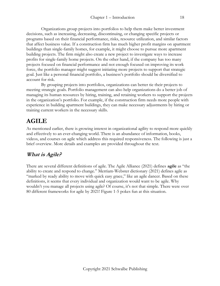Organizations group projects into portfolios to help them make better investment decisions, such as increasing, decreasing, discontinuing, or changing specific projects or programs based on their financial performance, risks, resource utilization, and similar factors that affect business value. If a construction firm has much higher profit margins on apartment buildings than single-family homes, for example, it might choose to pursue more apartment building projects. The firm might also create a new project to investigate ways to increase profits for single-family home projects. On the other hand, if the company has too many projects focused on financial performance and not enough focused on improving its work force, the portfolio manager might suggest initiating more projects to support that strategic goal. Just like a personal financial portfolio, a business's portfolio should be diversified to account for risk.

By grouping projects into portfolios, organizations can better tie their projects to meeting strategic goals. Portfolio management can also help organizations do a better job of managing its human resources by hiring, training, and retaining workers to support the projects in the organization's portfolio. For example, if the construction firm needs more people with experience in building apartment buildings, they can make necessary adjustments by hiring or training current workers in the necessary skills.

### **AGILE**

As mentioned earlier, there is growing interest in organizational agility to respond more quickly and effectively to an ever-changing world. There is an abundance of information, books, videos, and courses on agile which address this required responsiveness. The following is just a brief overview. More details and examples are provided throughout the text.

### **What is Agile?**

There are several different definitions of agile. The Agile Alliance (2021) defines **agile** as "the ability to create and respond to change." Merriam-Webster dictionary (2021) defines agile as "marked by ready ability to move with quick easy grace," like an agile dancer. Based on these definitions, it seems that every individual and organization would want to be agile. Why wouldn't you manage all projects using agile? Of course, it's not that simple. There were over 80 different frameworks for agile by 2021! Figure 1-5 pokes fun at this situation.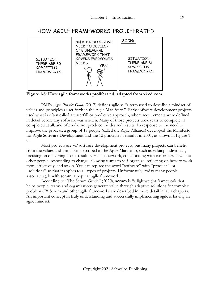#### HOW AGILE FRAMEWORKS PROLIFERATED SOON: 80! RIDICULOUS! WE NEED TO DEVELOP ONE UNIVERAL **FRAMEWORK THAT** COVERS EVERYONE'S SITUATION: STTUATTON: THERE ARE 81 NEEDS. THERE ARE 80 **YEAH! COMPETTNG COMPETTNG** FRAMEWORKS. FRAMEWORKS.

**Figure 1-5: How agile frameworks proliferated, adapted from xkcd.com**

PMI's *Agile Practice Guide* (2017) defines agile as "a term used to describe a mindset of values and principles as set forth in the Agile Manifesto." Early software development projects used what is often called a waterfall or predictive approach, where requirements were defined in detail before any software was written. Many of those projects took years to complete, if completed at all, and often did not produce the desired results. In response to the need to improve the process, a group of 17 people (called the Agile Alliance) developed the Manifesto for Agile Software Development and the 12 principles behind it in 2001, as shown in Figure 1- 6.

Most projects are *not* software development projects, but many projects can benefit from the values and principles described in the Agile Manifesto, such as valuing individuals, focusing on delivering useful results versus paperwork, collaborating with customers as well as other people, responding to change, allowing teams to self-organize, reflecting on how to work more effectively, and so on. You can replace the word "software" with "products" or "solutions" so that it applies to all types of projects. Unfortunately, today many people associate agile with scrum, a popular agile framework.

According to "The Scrum Guide" (2020), **scrum** is "a lightweight framework that helps people, teams and organizations generate value through adaptive solutions for complex problems." <sup>19</sup> Scrum and other agile frameworks are described in more detail in later chapters. An important concept in truly understanding and successfully implementing agile is having an agile mindset.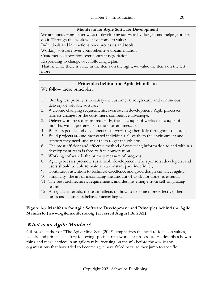#### **Manifesto for Agile Software Development**

We are uncovering better ways of developing software by doing it and helping others do it. Through this work we have come to value:

Individuals and interactions over processes and tools

Working software over comprehensive documentation

Customer collaboration over contract negotiation

Responding to change over following a plan

That is, while there is value in the items on the right, we value the items on the left more

#### **Principles behind the Agile Manifesto**

We follow these principles:

- 1. Our highest priority is to satisfy the customer through early and continuous delivery of valuable software.
- 2. Welcome changing requirements, even late in development. Agile processes harness change for the customer's competitive advantage.
- 3. Deliver working software frequently, from a couple of weeks to a couple of months, with a preference to the shorter timescale.
- 4. Business people and developers must work together daily throughout the project.
- 5. Build projects around motivated individuals. Give them the environment and support they need, and trust them to get the job done.
- 6. The most efficient and effective method of conveying information to and within a development team is face-to-face conversation.
- 7. Working software is the primary measure of progress.
- 8. Agile processes promote sustainable development. The sponsors, developers, and users should be able to maintain a constant pace indefinitely.
- 9. Continuous attention to technical excellence and good design enhances agility.
- 10. Simplicity--the art of maximizing the amount of work not done--is essential.
- 11. The best architectures, requirements, and designs emerge from self-organizing teams.
- 12. At regular intervals, the team reflects on how to become more effective, then tunes and adjusts its behavior accordingly.

#### **Figure 1-6. Manifesto for Agile Software Development and Principles behind the Agile Manifesto (www.agilemanifesto.org (accessed August 16, 2021).**

### **What is an Agile Mindset?**

Gil Broza, author of "The Agile Mind-Set" (2015), emphasizes the need to focus on values, beliefs, and principles before following specific frameworks or processes. He describes how to think and make choices in an agile way by focusing on the *why* before the *how*. Many organizations that have tried to become agile have failed because they jump to specific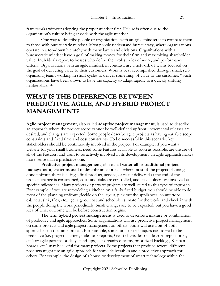frameworks without adopting the proper mindset first. Failure is often due to the organization's culture being at odds with the agile mindset.

One way to describe people or organizations with an agile mindset is to compare them to those with bureaucratic mindset. Most people understand bureaucracy, where organizations operate in a top-down hierarchy with many layers and divisions. Organizations with a bureaucratic mindset have a goal of making money for their firm and maximizing shareholder value. Individuals report to bosses who define their roles, rules of work, and performance criteria. Organizations with an agile mindset, in contrast, use a network of teams focused on the goal of delivering value to their customers. Work is best accomplished through small, selforganizing teams working in short cycles to deliver something of value to the customer. "Such organizations have been shown to have the capacity to adapt rapidly to a quickly shifting marketplace." 20

### **WHAT IS THE DIFFERENCE BETWEEN PREDICTIVE, AGILE, AND HYBRID PROJECT MANAGEMENT?**

**Agile project management**, also called **adaptive project management**, is used to describe an approach where the project scope cannot be well-defined upfront, incremental releases are desired, and changes are expected. Some people describe agile projects as having variable scope constraints and fixed time and cost constraints. To be successful in this scenario, key stakeholders should be continuously involved in the project. For example, if you want a website for your small business, need some features available as soon as possible, are unsure of all of the features, and want to be actively involved in its development, an agile approach makes more sense than a predictive one.

**Predictive project management**, also called **waterfall** or **traditional project management**, are terms used to describe an approach where most of the project planning is done upfront, there is a single final product, service, or result delivered at the end of the project, change is constrained, costs and risks are controlled, and stakeholders are involved at specific milestones. Many projects or parts of projects are well-suited to this type of approach. For example, if you are remodeling a kitchen on a fairly fixed budget, you should be able to do most of the planning upfront (decide on the layout, pick out the appliances, countertops, cabinets, sink, tiles, etc.), get a good cost and schedule estimate for the work, and check in with the people doing the work periodically. Small changes are to be expected, but you have a good idea of what outcome will be before construction begins.

The term **hybrid project management** is used to describe a mixture or combination of predictive and agile approaches. Some organizations will use predictive project management on some projects and agile project management on others. Some will use a bit of both approaches on the same project. For example, some tools or techniques considered to be predictive (i.e. project charters, milestone reports, Gantt charts, lessons-learned repositories, etc.) or agile (scrums or daily stand-ups, self-organized teams, prioritized backlogs, Kanban boards, etc.) may be useful for many projects. Some projects that produce several different products might use an agile approach for some deliverables and a predictive approach for others. For example, the design of a house or development of smart technology within the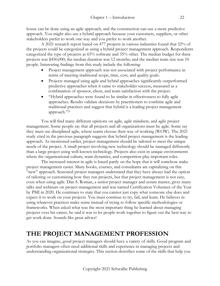house can be done using an agile approach, and the construction can use a more predictive approach. You might also use a hybrid approach because your customers, suppliers, or other stakeholders prefer to work one way and you prefer to work another.

A 2021 research report based on 477 projects in various industries found that 52% of the projects could be categorized as using a hybrid project management approach. Respondents categorized the type of projects as 65% software and 35% other. The median budget for these projects was \$450,000; the median duration was 12 months; and the median team size was 10 people. Interesting findings from this study include the following:

- Project management approach was not associated with project performance in terms of meeting traditional scope, time, cost, and quality goals.
- Projects managed using agile and hybrid approaches significantly outperformed predictive approaches when it came to stakeholder success, measured as a combination of sponsor, client, and team satisfaction with the project.
- "Hybrid approaches were found to be similar in effectiveness to fully agile approaches. Results validate decisions by practitioners to combine agile and traditional practices and suggest that hybrid is a leading project management approach."<sup>21</sup>

You will find many different opinions on agile, agile mindsets, and agile project management. Some people say that all projects and all organizations must be agile. Some say they must use disciplined agile, where teams choose their way of working (WOW). The 2021 study cited in the previous paragraph suggests that hybrid project management is the leading approach. As mentioned earlier, project management should be tailored to meet the unique needs of the project. A small project involving new technology should be managed differently than a large project using well-known technology. Projects also exist in unique environments where the organizational culture, team dynamics, and competition play important roles.

The increased interest in agile is based partly on the hope that it will somehow make project management easier. Many books, courses, and consultants are capitalizing on this "new" approach. Seasoned project managers understand that they have always had the option of tailoring or customizing how they run projects, but that project management is not easy, even when using agile. Dan S. Roman, a senior project manager and scrum master, gives many talks and webinars on project management and was named Certification Volunteer of the Year by PMI in 2020. He continues to state that you cannot just copy what someone else does and expect it to work on your projects. You must continue to try, fail, and learn. He believes in using whatever practices make sense instead of trying to follow specific methodologies or frameworks. When asked what was the most important thing he learned about managing projects over his career, he said it was to let people work together to figure out the best way to get work done. Sounds like great advice!

### **THE PROJECT MANAGEMENT PROFESSION**

As you can imagine, good project managers should have a variety of skills. Good program and portfolio managers often need additional skills and experience in managing projects and understanding organizational strategies. This section describes some of the skills that help you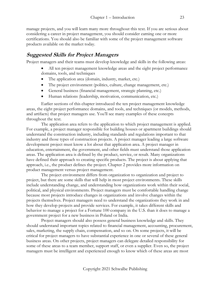manage projects, and you will learn many more throughout this text. If you are serious about considering a career in project management, you should consider earning one or more certifications. You should also be familiar with some of the project management software products available on the market today.

#### **Suggested Skills for Project Managers**

Project managers and their teams must develop knowledge and skills in the following areas:

- All ten project management knowledge areas and the eight project performance domains, tools, and techniques
- The application area (domain, industry, market, etc.)
- The project environment (politics, culture, change management, etc.)
- General business (financial management, strategic planning, etc.)
- Human relations (leadership, motivation, communication, etc.)

Earlier sections of this chapter introduced the ten project management knowledge areas, the eight project performance domains, and tools, and techniques (or models, methods, and artifacts) that project managers use. You'll see many examples of these concepts throughout the text.

The application area refers to the application to which project management is applied. For example, a project manager responsible for building houses or apartment buildings should understand the construction industry, including standards and regulations important to that industry and those types of construction projects. A project manager leading a large software development project must know a lot about that application area. A project manager in education, entertainment, the government, and other fields must understand those application areas. The application area is defined by the product, service, or result. Many organizations have defined their approach to creating specific products. The project is about applying that approach, i.e., the product defines the project. Chapter 2 provides more information on product management versus project management.

The project environment differs from organization to organization and project to project, but there are some skills that will help in most project environments. These skills include understanding change, and understanding how organizations work within their social, political, and physical environments. Project managers must be comfortable handling change because most projects introduce changes in organizations and involve changes within the projects themselves. Project managers need to understand the organizations they work in and how they develop projects and provide services. For example, it takes different skills and behavior to manage a project for a Fortune 100 company in the U.S. than it does to manage a government project for a new business in Poland or India.

Project managers should also possess general business knowledge and skills. They should understand important topics related to financial management, accounting, procurement, sales, marketing, the supply chain, compensation, and so on. On some projects, it will be critical for project managers to have substantial experience in one or several of these general business areas. On other projects, project managers can delegate detailed responsibility for some of these areas to a team member, support staff, or even a supplier. Even so, the project managers must be intelligent and experienced enough to know which of these areas are most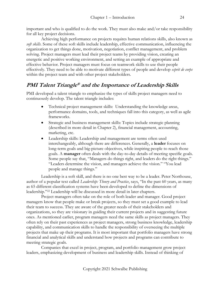important and who is qualified to do the work. They must also make and/or take responsibility for all key project decisions.

Achieving high performance on projects requires human relations skills, also known as *soft skills*. Some of these soft skills include leadership, effective communication, influencing the organization to get things done, motivation, negotiation, conflict management, and problem solving. Project managers must lead their project teams by providing vision, creating an energetic and positive working environment, and setting an example of appropriate and effective behavior. Project managers must focus on teamwork skills to use their people effectively. They need to be able to motivate different types of people and develop *esprit de corps* within the project team and with other project stakeholders.

### **PMI Talent Triangle ® and the Importance of Leadership Skills**

PMI developed a talent triangle to emphasize the types of skills project managers need to continuously develop. The talent triangle includes:

- Technical project management skills: Understanding the knowledge areas, performance domains, tools, and techniques fall into this category, as well as agile frameworks.
- Strategic and business management skills: Topics include strategic planning (described in more detail in Chapter 2), financial management, accounting, marketing, etc.
- Leadership skills: Leadership and management are terms often used interchangeably, although there are differences. Generally, a **leader** focuses on long-term goals and big-picture objectives, while inspiring people to reach those goals. A **manager** often deals with the day-to-day details of meeting specific goals. Some people say that, "Managers do things right, and leaders do the right things." "Leaders determine the vision, and managers achieve the vision." "You lead people and manage things."

Leadership is a soft skill, and there is no one best way to be a leader. Peter Northouse, author of a popular text called *Leadership: Theory and Practice*, says, "In the past 60 years, as many as 65 different classification systems have been developed to define the dimensions of leadership."<sup>22</sup> Leadership will be discussed in more detail in later chapters.

Project managers often take on the role of both leader and manager. Good project managers know that people make or break projects, so they must set a good example to lead their team to success. They are aware of the greater needs of their stakeholders and organizations, so they are visionary in guiding their current projects and in suggesting future ones. As mentioned earlier, program managers need the same skills as project managers. They often rely on their past experiences as project managers, strong business knowledge, leadership capability, and communication skills to handle the responsibility of overseeing the multiple projects that make up their programs. It is most important that portfolio managers have strong financial and analytical skills and understand how projects and programs can contribute to meeting strategic goals.

Companies that excel in project, program, and portfolio management grow project leaders, emphasizing development of business and leadership skills. Instead of thinking of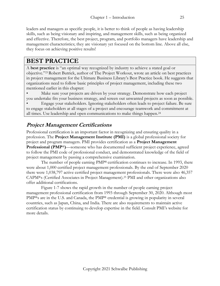leaders and managers as specific people, it is better to think of people as having leadership skills, such as being visionary and inspiring, and management skills, such as being organized and effective. Therefore, the best project, program, and portfolio managers have leadership and management characteristics; they are visionary yet focused on the bottom line. Above all else, they focus on achieving positive results!

### **BEST PRACTICE**

A **best practice** is "an optimal way recognized by industry to achieve a stated goal or objective."23Robert Butrick, author of The Project Workout, wrote an article on best practices in project management for the Ultimate Business Library's Best Practice book. He suggests that organizations need to follow basic principles of project management, including these two mentioned earlier in this chapter:

Make sure your projects are driven by your strategy. Demonstrate how each project you undertake fits your business strategy, and screen out unwanted projects as soon as possible.

• Engage your stakeholders. Ignoring stakeholders often leads to project failure. Be sure to engage stakeholders at all stages of a project and encourage teamwork and commitment at all times. Use leadership and open communications to make things happen.<sup>24</sup>

### **Project Management Certifications**

Professional certification is an important factor in recognizing and ensuring quality in a profession. The **Project Management Institute (PMI)** is a global professional society for project and program managers. PMI provides certification as a **Project Management Professional (PMP**®**)**—someone who has documented sufficient project experience, agreed to follow the PMI code of professional conduct, and demonstrated knowledge of the field of project management by passing a comprehensive examination.

The number of people earning PMP® certification continues to increase. In 1993, there were about 1,000 certified project management professionals. By the end of September 2020 there were 1,038,797 active certified project management professionals. There were also 46,357 CAPM®s (Certified Associates in Project Management).<sup>25</sup> PMI and other organizations also offer additional certifications.

Figure 1-7 shows the rapid growth in the number of people earning project management professional certification from 1993 through September 30, 2020. Although most PMP®s are in the U.S. and Canada, the PMP® credential is growing in popularity in several countries, such as Japan, China, and India. There are also requirements to maintain active certification status by continuing to develop expertise in the field. Consult PMI's website for more details.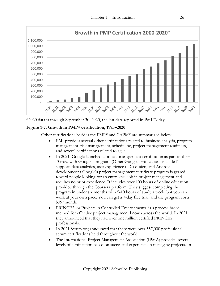

\*2020 data is through September 30, 2020, the last data reported in PMI Today.

#### **Figure 1-7. Growth in PMP® certification, 1993–2020**

Other certifications besides the PMP® and CAPM® are summarized below:

- PMI provides several other certifications related to business analysis, program management, risk management, scheduling, project management readiness, and several certifications related to agile.
- In 2021, Google launched a project management certification as part of their "Grow with Google" program. (Other Google certifications include IT support, data analytics, user experience (UX) design, and Android development.) Google's project management certificate program is geared toward people looking for an entry-level job in project management and requires no prior experience. It includes over 100 hours of online education provided through the Coursera platform. They suggest completing the program in under six months with 5-10 hours of study a week, but you can work at your own pace. You can get a 7-day free trial, and the program costs \$39/month.
- PRINCE2, or Projects in Controlled Environments, is a process-based method for effective project management known across the world. In 2021 they announced that they had over one million certified PRINCE2 professionals.
- In 2021 Scrum.org announced that there were over 557,000 professional scrum certifications held throughout the world.
- The International Project Management Association (IPMA) provides several levels of certification based on successful experience in managing projects. In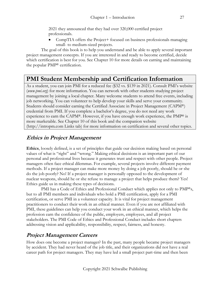2021 they announced that they had over 320,000 certified project professionals.

• CompTIA offers the Project+ focused on business professionals managing small- to medium-sized projects.

The goal of this book is to help you understand and be able to apply several important project management concepts. If you are interested in and ready to become certified, decide which certification is best for you. See Chapter 10 for more details on earning and maintaining the popular PMP® certification.

### **PMI Student Membership and Certification Information**

As a student, you can join PMI for a reduced fee (\$32 vs. \$139 in 2021). Consult PMI's website (*www.pmi.org*) for more information. You can network with other students studying project management by joining a local chapter. Many welcome students to attend free events, including job networking. You can volunteer to help develop your skills and serve your community. Students should consider earning the Certified Associate in Project Management (CAPM®) credential from PMI. If you complete a bachelor's degree, you do not need any work experience to earn the  $CAPM^{\circledR}$ . However, if you have enough work experience, the  $PMP^{\circledR}$  is more marketable. See Chapter 10 of this book and the companion website (http://intropm.com Links tab) for more information on certification and several other topics.

### **Ethics in Project Management**

**Ethics**, loosely defined, is a set of principles that guide our decision making based on personal values of what is "right" and "wrong." Making ethical decisions is an important part of our personal and professional lives because it generates trust and respect with other people. Project managers often face ethical dilemmas. For example, several projects involve different payment methods. If a project manager can make more money by doing a job poorly, should he or she do the job poorly? No! If a project manager is personally opposed to the development of nuclear weapons, should he or she refuse to manage a project that helps produce them? Yes! Ethics guide us in making these types of decisions.

PMI has a Code of Ethics and Professional Conduct which applies not only to PMP®s, but to all PMI members and individuals who hold a PMI certification, apply for a PMI certification, or serve PMI in a volunteer capacity. It is vital for project management practitioners to conduct their work in an ethical manner. Even if you are not affiliated with PMI, these guidelines can help you conduct your work in an ethical manner, which helps the profession earn the confidence of the public, employers, employees, and all project stakeholders. The PMI Code of Ethics and Professional Conduct includes short chapters addressing vision and applicability, responsibility, respect, fairness, and honesty.

### **Project Management Careers**

How does one become a project manager? In the past, many people became project managers by accident. They had never heard of the job title, and their organizations did not have a real career path for project managers. They may have led a small project part-time and then been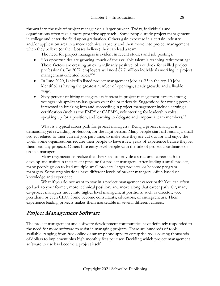thrown into the role of project manager on a larger project. Today, individuals and organizations often take a more proactive approach. Some people study project management in college and enter the field upon graduation. Others gain expertise in a certain industry and/or application area in a more technical capacity and then move into project management when they believe (or their bosses believe) they can lead a team.

The need for project managers is evident in recent studies and job postings.

- "As opportunities are growing, much of the available talent is reaching retirement age. These factors are creating an extraordinarily positive jobs outlook for skilled project professionals. By 2027, employers will need 87.7 million individuals working in project management-oriented roles." 26
- In June 2020, LinkedIn listed project management jobs as  $\#3$  in the top 10 jobs identified as having the greatest number of openings, steady growth, and a livable wage.
- Sixty percent of hiring managers say interest in project management careers among younger job applicants has grown over the past decade. Suggestions for young people interested in breaking into and succeeding in project management include earning a certification (such as the PMP® or CAPM®), volunteering for leadership roles, speaking up for a position, and learning to delegate and empower team members.<sup>27</sup>

What is a typical career path for project managers? Being a project manager is a demanding yet rewarding profession, for the right person. Many people start off leading a small project related to their current job, part-time, to make sure they are cut out for and enjoy the work. Some organizations require their people to have a few years of experience before they let them lead any projects. Others hire entry-level people with the title of project coordinator or project manager.

Many organizations realize that they need to provide a structured career path to develop and maintain their talent pipeline for project managers. After leading a small project, many people go on to lead multiple small projects, larger projects, or become program managers. Some organizations have different levels of project managers, often based on knowledge and experience.

What if you do not want to stay in a project management career path? You can often go back to your former, more technical position, and move along that career path. Or, many ex-project managers move into higher level management positions, such as director, vice president, or even CEO. Some become consultants, educators, or entrepreneurs. Their experience leading projects makes them marketable in several different careers.

### **Project Management Software**

The project management and software development communities have definitely responded to the need for more software to assist in managing projects. There are hundreds of tools available, ranging from free online or smart phone apps to enterprise tools costing thousands of dollars to implement plus high monthly fees per user. Deciding which project management software to use has become a project itself.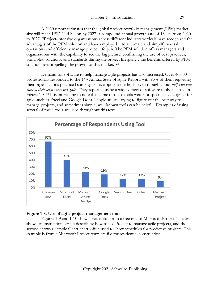A 2020 report estimates that the global project portfolio management (PPM) market size will reach USD 11.4 billion by 2027, a compound annual growth rate of 13.4% from 2020 to 2027. "Project-intensive organizations across different industry verticals have recognized the advantages of the PPM solution and have employed it to automate and simplify several operations and efficiently manage project lifespan. The PPM solution offers managers and organizations with the capability to see the big picture, confirming the use of best practices, principles, solutions, and standards during the project lifespan… the benefits offered by PPM solutions are propelling the growth of this market." 28

Demand for software to help manage agile projects has also increased. Over 40,000 professionals responded to the 14th Annual State of Agile Report, with 95% of them reporting their organizations practiced some agile development methods, even though about *half said that most of their teams were not agile*. They reported using a wide variety of software tools, as listed in Figure 1-8. <sup>29</sup> It is interesting to note that some of these tools were not specifically designed for agile, such as Excel and Google Docs. People are still trying to figure out the best way to manage projects, and sometimes simple, well-known tools can be helpful. Examples of using several of these tools are used throughout this text.



#### **Figure 1-8. Use of agile project management tools**

Figures 1-9 and 1-10 show screenshots from a free trial of Microsoft Project. The first shows an instruction screen describing how to use Project to manage agile projects, and the second shows a sample Gantt chart, often used to show schedules for predictive projects. This example is from a Microsoft Project template file for residential construction.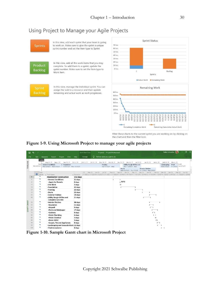### Using Project to Manage your Agile Projects



Filter these charts to the current sprint you are working on by clicking on the chart and then the filter icon.

#### **Figure 1-9. Using Microsoft Project to manage your agile projects**

| Я.                 |              | $\mathbf{6} \cdot \mathbf{6}$<br>- 7 |                                                                                                     |                        | <b>Gantt Chart Tools</b> |               |         | Project2 - Project Professional  |              |                            |                                 |           |                          |              |                                                                                                                                                                  | Kathy Schwalbe |         | 门       |
|--------------------|--------------|--------------------------------------|-----------------------------------------------------------------------------------------------------|------------------------|--------------------------|---------------|---------|----------------------------------|--------------|----------------------------|---------------------------------|-----------|--------------------------|--------------|------------------------------------------------------------------------------------------------------------------------------------------------------------------|----------------|---------|---------|
| File               |              | Task                                 | Project<br>View<br>Resource<br>Report                                                               | Help                   | Format                   | O             |         | Tell me what you want to do      |              |                            |                                 |           |                          |              |                                                                                                                                                                  |                |         |         |
|                    |              | Today                                |                                                                                                     |                        |                          |               |         |                                  |              |                            |                                 |           |                          |              |                                                                                                                                                                  |                |         |         |
|                    |              |                                      | Aug 22, 21<br>Sep 5, 21<br>Sep 19, '21                                                              | Oct 3, '21             | Oct 17, 21               | Oct 31, 21    |         | Nov 14, 21 Nov 28, 21 Dec 12, 21 |              | Dec 26, 21                 |                                 | Jan 9, 22 | Jan 23, '22              | Feb 6, '22   | Feb 20, '22                                                                                                                                                      | Mar 6, '22     | Finish  |         |
| TIMELINE           |              | Start<br>Mon 8/16/21                 | <b>General Conditions</b><br>5 Foundation<br>Man 8/16/21 - Mon 9/13/21 1 Fri 9/17/21 - Mon 11/15/21 |                        |                          |               | Framing | Tue 11/16/21 - Wed               |              | Man 12/20/21 - Man         | <b>Utility Rough-B97Ins and</b> |           |                          |              | Landscaping<br>Wed 2/16/22 - Fri 3/4/22 Tue 3/15/22                                                                                                              | Final          |         |         |
|                    |              |                                      |                                                                                                     |                        |                          |               |         |                                  |              | Dry In                     |                                 |           | <b>Exterior Finishes</b> |              |                                                                                                                                                                  |                |         |         |
|                    |              |                                      |                                                                                                     |                        |                          |               |         |                                  |              | Wed 12/15/21 - Thu 1/13/22 |                                 |           | Fri 1/14/22 - Wed 2/9/22 |              |                                                                                                                                                                  |                |         |         |
|                    |              | Task<br>$\bf o$                      | Mode - Task Name                                                                                    | $\rightarrow$ Duration | $-21$                    | May 21 Jun 21 | Jul 21  | Aug '21                          | Sep '21      | Oct 21                     | Nov '21                         | Dec 21    | Jan 22                   | Feb '22      | Mar '22<br>111825 2 9 162330 6 132027 4 11 1825 1 8 152229 5 12 1926 3 10 1724 31 7 1421 28 5 12 1926 2 9 162330 6 132027 6 132027 3 10 1724 1 8 152229 5 12 192 | Apr 22         | May '22 | Jun '22 |
|                    | $\mathbf{0}$ | $\overline{\phantom{a}}$             | -Residential Construction                                                                           | 152 days               |                          |               |         |                                  |              |                            |                                 |           |                          |              |                                                                                                                                                                  |                |         |         |
|                    |              | ٠                                    | <b>«General Conditions</b>                                                                          | 21 days                |                          |               |         |                                  |              |                            |                                 |           |                          |              |                                                                                                                                                                  |                |         |         |
|                    |              | ٠                                    | <b>Apply for Permits</b>                                                                            | 0 days                 |                          |               |         |                                  | $+ 9/13$     |                            |                                 |           |                          |              |                                                                                                                                                                  |                |         |         |
|                    | 11           | ۰,                                   | -Site Work                                                                                          | 3 days                 |                          |               |         |                                  | $\mathsf{r}$ |                            |                                 |           |                          |              |                                                                                                                                                                  |                |         |         |
|                    | 15           | ×.                                   | <b>*Foundation</b>                                                                                  | 42 days                |                          |               |         |                                  |              |                            |                                 |           |                          |              |                                                                                                                                                                  |                |         |         |
|                    | 24           | ×,                                   | <b>*Framing</b>                                                                                     | 22 days                |                          |               |         |                                  |              |                            |                                 |           |                          |              |                                                                                                                                                                  |                |         |         |
|                    | 35           | 吧                                    | -Dry In                                                                                             | 22 days                |                          |               |         |                                  |              |                            |                                 |           |                          |              |                                                                                                                                                                  |                |         |         |
|                    | 43           | ۰                                    | <b>«Exterior Finishes</b>                                                                           | 19 days                |                          |               |         |                                  |              |                            |                                 |           |                          |              |                                                                                                                                                                  |                |         |         |
|                    | 46           | ۰                                    | -Utility Rough-B97Ins and                                                                           | 21 days                |                          |               |         |                                  |              |                            |                                 |           |                          |              |                                                                                                                                                                  |                |         |         |
|                    |              |                                      | <b>Complete Concrete</b>                                                                            |                        |                          |               |         |                                  |              |                            |                                 |           |                          |              |                                                                                                                                                                  |                |         |         |
| <b>GANTT CHART</b> | 55           | 悪                                    | <b>-Interior Finishes</b>                                                                           | 30 days                |                          |               |         |                                  |              |                            |                                 |           |                          |              |                                                                                                                                                                  |                |         |         |
|                    | 56           | ٠                                    | <b>«Insulation</b>                                                                                  | 11 days                |                          |               |         |                                  |              |                            |                                 |           |                          |              |                                                                                                                                                                  |                |         |         |
|                    | 61           | ۰,                                   | -Drywall                                                                                            | 9 days                 |                          |               |         |                                  |              |                            |                                 |           |                          | г            |                                                                                                                                                                  |                |         |         |
|                    | 68           | ×,                                   | «Paint and Wallpaper                                                                                | 17 days                |                          |               |         |                                  |              |                            |                                 |           |                          |              |                                                                                                                                                                  |                |         |         |
|                    | 75           | ٠                                    | -Cabinets                                                                                           | 6 days                 |                          |               |         |                                  |              |                            |                                 |           |                          | $\Box$       |                                                                                                                                                                  |                |         |         |
|                    | 80           | ٠                                    | <b>-Finish Plumbing</b>                                                                             | 6 days                 |                          |               |         |                                  |              |                            |                                 |           |                          | $1 - 1$      |                                                                                                                                                                  |                |         |         |
|                    | 85           | ٠                                    | -Finish Electrical                                                                                  | 3 days                 |                          |               |         |                                  |              |                            |                                 |           |                          | $\mathbf{u}$ |                                                                                                                                                                  |                |         |         |
|                    | 90           | P.                                   | «Finish HVAC                                                                                        | 3 days                 |                          |               |         |                                  |              |                            |                                 |           |                          | $\Box$       |                                                                                                                                                                  |                |         |         |
|                    | 94           | ×,                                   | «Carpet, Tile and Appliances                                                                        | 8 days                 |                          |               |         |                                  |              |                            |                                 |           |                          | $\Box$       |                                                                                                                                                                  |                |         |         |
|                    | 99           | ×,                                   | -Landscaping and Grounds Work 12 days                                                               |                        |                          |               |         |                                  |              |                            |                                 |           |                          | п            |                                                                                                                                                                  |                |         |         |
|                    | 104          |                                      | <b>-Final Acceptance</b>                                                                            | 8 days                 |                          |               |         |                                  |              |                            |                                 |           |                          |              | E.                                                                                                                                                               |                |         |         |

**Figure 1-10. Sample Gantt chart in Microsoft Project**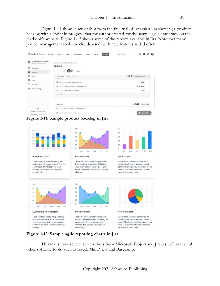Figure 1-11 shows a screenshot from the free trial of Atlassian Jira showing a product backlog with a sprint in progress that the author created for the sample agile case study on this textbook's website. Figure 1-12 shows some of the reports available in Jira. Note that many project management tools are cloud-based, with new features added often.

| ▦ | Sira Software                                             | Filters $\sim$<br>Dashboards v People v<br>Your work<br>Projects v<br>Create<br>Apps $\vee$ | Q Search |                     |                   |  |
|---|-----------------------------------------------------------|---------------------------------------------------------------------------------------------|----------|---------------------|-------------------|--|
|   | Schwalbe Agile Resources<br>Next-gen software project     | Projects / Schwalbe Agile Resources                                                         |          |                     |                   |  |
| Ş | Roadmap                                                   | Backlog                                                                                     |          |                     |                   |  |
| 冒 | Backlog                                                   | $\mathbb{Q}$<br>Epic $\vee$                                                                 |          |                     |                   |  |
| m | Board                                                     | SAR Sprint 1 26 Oct - 9 Nov<br>3 Hours                                                      |          | 0 @ Complete sprint |                   |  |
| 同 | Pages                                                     | 5AR-1 Create Agile tab on book site                                                         |          | <b>DONE</b>         |                   |  |
|   | Add item                                                  | SAR-2 Create guidelines for agile exercises                                                 |          | IN PROGRESS         |                   |  |
|   | Project settings                                          | <b>El</b> SAR-3 Write a draft of exercises                                                  |          | TO DO               |                   |  |
|   |                                                           | + Create issue                                                                              |          |                     |                   |  |
|   |                                                           | <b>Contract Park Contract</b>                                                               |          |                     |                   |  |
|   |                                                           | $-$ Backlog                                                                                 |          | 000                 | Create sprint     |  |
|   |                                                           | <b>El</b> SAR-4 Provide feedback on the exercises                                           |          |                     |                   |  |
|   | You're in a next-gen project.<br>Give feedback Learn more | SAR-5 Update the exercises                                                                  |          |                     | <b>Quickstart</b> |  |





**Figure 1-12. Sample agile reporting charts in Jira**

This text shows several screen shots from Microsoft Project and Jira, as well as several other software tools, such as Excel, MindView and Basecamp.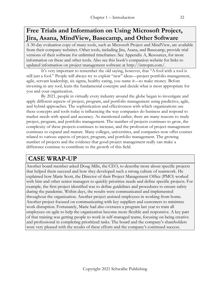### **Free Trials and Information on Using Microsoft Project, Jira, Asana, MindView, Basecamp, and Other Software**

A 30-day evaluation copy of many tools, such as Microsoft Project and MindView, are available from their company websites. Other tools, including Jira, Asana, and Basecamp, provide trial versions of their software for unlimited timeframes. See Appendix A, Resources, for more information on these and other tools. Also see this book's companion website for links to updated information on project management software at http://intropm.com/.

It's very important to remember the old saying, however, that "A fool with a tool is still just a fool." People will always try to exploit "new" ideas—project portfolio management, agile, servant leadership, six sigma, healthy eating, you name it—to make money. Before investing in any tool, learn the fundamental concepts and decide what is most appropriate for you and your organization.

By 2021, people in virtually every industry around the globe began to investigate and apply different aspects of project, program, and portfolio management using predictive, agile, and hybrid approaches. The sophistication and effectiveness with which organizations use these concepts and tools today is influencing the way companies do business and respond to market needs with speed and accuracy. As mentioned earlier, there are many reasons to study project, program, and portfolio management. The number of projects continues to grow, the complexity of these projects continues to increase, and the profession of project management continues to expand and mature. Many colleges, universities, and companies now offer courses related to various aspects of project, program, and portfolio management. The growing number of projects and the evidence that good project management really can make a difference continue to contribute to the growth of this field.

### **CASE WRAP-UP**

Another board member asked Doug Milis, the CEO, to describe more about specific projects that helped them succeed and how they developed such a strong culture of teamwork. He explained how Marie Scott, the Director of their Project Management Office (PMO) worked with him and other senior managers to quickly prioritize needs and define specific projects. For example, the first project identified was to define guidelines and procedures to ensure safety during the pandemic. Within days, the results were communicated and implemented throughout the organization. Another project assisted employees in working from home. Another project focused on communicating with key suppliers and customers to minimize work disruption. Fortunately, Marie had also overseen a program last year to train all employees on agile to help the organization become more flexible and responsive. A key part of that training was getting people to work in self-managed teams, focusing on being creative and professional in completing prioritized tasks. The board and the company's shareholders were very pleased with the results of these efforts and the company's continued success.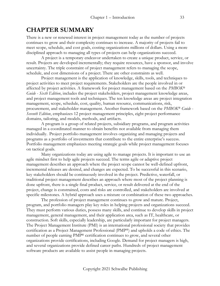### **CHAPTER SUMMARY**

There is a new or renewed interest in project management today as the number of projects continues to grow and their complexity continues to increase. A majority of projects fail to meet scope, schedule, and cost goals, costing organizations millions of dollars. Using a more disciplined approach to managing all types of projects can help organizations succeed.

A project is a temporary endeavor undertaken to create a unique product, service, or result. Projects are developed incrementally; they require resources, have a sponsor, and involve uncertainty. The triple constraint of project management refers to managing the scope, schedule, and cost dimensions of a project. There are other constraints as well.

Project management is the application of knowledge, skills, tools, and techniques to project activities to meet project requirements. Stakeholders are the people involved in or affected by project activities. A framework for project management based on the *PMBOK® Guide - Sixth Edition*, includes the project stakeholders, project management knowledge areas, and project management tools and techniques. The ten knowledge areas are project integration management, scope, schedule, cost, quality, human resource, communications, risk, procurement, and stakeholder management. Another framework based on the *PMBOK® Guide - Seventh Edition*, emphasizes 12 project management principles, eight project performance domains, tailoring, and models, methods, and artifacts.

A program is a group of related projects, subsidiary programs, and program activities managed in a coordinated manner to obtain benefits not available from managing them individually. Project portfolio management involves organizing and managing projects and programs as a portfolio of investments that contribute to the entire enterprise's success. Portfolio management emphasizes meeting strategic goals while project management focuses on tactical goals.

Many organizations today are using agile to manage projects. It is important to use an agile mindset first to help agile projects succeed. The terms agile or adaptive project management describes an approach where the project scope cannot be well-defined upfront, incremental releases are desired, and changes are expected. To be successful in this scenario, key stakeholders should be continuously involved in the project. Predictive, waterfall, or traditional project management describes an approach where most of the project planning is done upfront, there is a single final product, service, or result delivered at the end of the project, change is constrained, costs and risks are controlled, and stakeholders are involved at specific milestones. A hybrid approach uses a mixture or combination of these two approaches.

The profession of project management continues to grow and mature. Project, program, and portfolio managers play key roles in helping projects and organizations succeed. They must perform various duties, possess many skills, and continue to develop skills in project management, general management, and their application area, such as IT, healthcare, or construction. Soft skills, especially leadership, are particularly important for project managers. The Project Management Institute (PMI) is an international professional society that provides certification as a Project Management Professional (PMP®) and upholds a code of ethics. The number of people earning PMP® certification continues to grow, and several other organizations provide certifications, including Google. Demand for project managers is high, and several organizations provide defined career paths. Hundreds of project management software products are available to assist people in managing projects.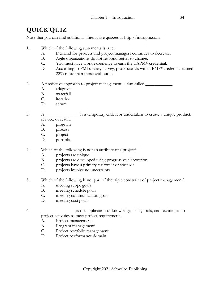### **QUICK QUIZ**

Note that you can find additional, interactive quizzes at http://intropm.com.

- 1. Which of the following statements is true?
	- A. Demand for projects and project managers continues to decrease.
	- B. Agile organizations do not respond better to change.
	- C. You must have work experience to earn the CAPM® credential.
	- D. According to PMI's salary survey, professionals with a PMP<sup>®</sup> credential earned 22% more than those without it.
- 2. A predictive approach to project management is also called  $\_\_$ 
	- A. adaptive
	- B. waterfall
	- C. iterative
	- D<sub>scrum</sub>
- 3. A \_\_\_\_\_\_\_\_\_\_\_\_\_\_\_ is a temporary endeavor undertaken to create a unique product, service, or result.
	- A. program
	- B. process
	- C. project
	- D. portfolio

4. Which of the following is not an attribute of a project?

- A. projects are unique
- B. projects are developed using progressive elaboration
- C. projects have a primary customer or sponsor
- D. projects involve no uncertainty
- 5. Which of the following is not part of the triple constraint of project management?
	- A. meeting scope goals
	- B. meeting schedule goals
	- C. meeting communication goals
	- D. meeting cost goals
- 6. \_\_\_\_\_\_\_\_\_\_\_\_\_\_\_ is the application of knowledge, skills, tools, and techniques to project activities to meet project requirements.
	- A. Project management
	- B. Program management
	- C. Project portfolio management
	- D. Project performance domain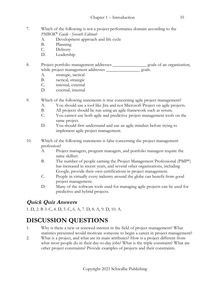- 7. Which of the following is not a project performance domain according to the *PMBOK® Guide - Seventh Edition*?
	- A. Development approach and life cycle
	- B. Planning
	- C. Delivery
	- D. Leadership
- 8. Project portfolio management addresses \_\_\_\_\_\_\_\_\_\_\_\_\_\_\_ goals of an organization, while project management addresses  $\qquad \qquad$  goals.
	- A. strategic, tactical
	- B. tactical, strategic
	- C. internal, external
	- D. external, internal
- 9. Which of the following statements is true concerning agile project management?
	- A. You should use a tool like Jira and not Microsoft Project on agile projects.
	- B. All projects should be run using an agile framework such as scrum.
	- C. You cannot use both agile and predictive project management tools on the same project.
	- D. You should first understand and use an agile mindset before trying to implement agile project management.
- 10. Which of the following statements is false concerning the project management profession?
	- A. Project managers, program managers, and portfolio managers require the same skillset.
	- B. The number of people earning the Project Management Professional (PMP®) has increased in recent years, and several other organizations, including Google, provide their own certifications in project management.
	- C. People in virtually every industry around the globe can benefit from good project management.
	- D. Many of the software tools used for managing agile projects can be used for predictive and hybrid projects.

### **Quick Quiz Answers**

1. D, 2. B 3. C, 4. D, 5. C, 6. A, 7. D, 8. A, 9. D, 10. A.

### **DISCUSSION QUESTIONS**

- 1. Why is there a new or renewed interest in the field of project management? What statistics presented would motivate someone to begin a career in project management?
- 2. What is a project, and what are its main attributes? How is a project different from what most people do in their day-to-day jobs? What is the triple constraint? What are other project constraints? Provide examples of projects and their constraints.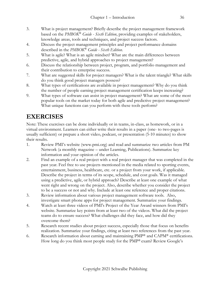- 3. What is project management? Briefly describe the project management framework based on the *PMBOK® Guide - Sixth Edition*, providing examples of stakeholders, knowledge areas, tools and techniques, and project success factors.
- 4. Discuss the project management principles and project performance domains described in the *PMBOK® Guide - Sixth Edition*.
- 5. What is agile? What is an agile mindset? What are the main differences between predictive, agile, and hybrid approaches to project management?
- 6. Discuss the relationship between project, program, and portfolio management and their contribution to enterprise success.
- 7. What are suggested skills for project managers? What is the talent triangle? What skills do you think good project managers possess?
- 8. What types of certifications are available in project management? Why do you think the number of people earning project management certification keeps increasing?
- 9. What types of software can assist in project management? What are some of the most popular tools on the market today for both agile and predictive project management? What unique functions can you perform with these tools perform?

### **EXERCISES**

Note: These exercises can be done individually or in teams, in-class, as homework, or in a virtual environment. Learners can either write their results in a paper (one- to two-pages is usually sufficient) or prepare a short video, podcast, or presentation (5-10 minutes) to show their results.

- 1. Review PMI's website (www.pmi.org) and read and summarize two articles from PM Network (a monthly magazine – under Learning, Publications). Summarize key information and your opinion of the articles.
- 2. Find an example of a real project with a real project manager that was completed in the past year. Feel free to use projects mentioned in the media related to sporting events, entertainment, business, healthcare, etc. or a project from your work, if applicable. Describe the project in terms of its scope, schedule, and cost goals. Was it managed using a predictive, agile, or hybrid approach? Describe at least one example of what went right and wrong on the project. Also, describe whether you consider the project to be a success or not and why. Include at least one reference and proper citations.
- 3. Review information about various project management software tools. Also, investigate smart phone apps for project management. Summarize your findings.
- 4. Watch at least three videos of PMI's Project of the Year Award winners from PMI's website. Summarize key points from at least two of the videos. What did the project teams do to ensure success? What challenges did they face, and how did they overcome them?
- 5. Research recent studies about project success, especially those that focus on benefits realization. Summarize your findings, citing at least two references from the past year.
- 6. Research information about earning and maintaining PMP® and CAPM® certifications. How long do you think most people study for the PMP® exam? Review Google's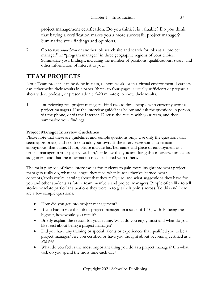project management certification. Do you think it is valuable? Do you think that having a certification makes you a more successful project manager? Summarize your findings and opinions.

7. Go to *www.indeed.com* or another job search site and search for jobs as a "project manager" or "program manager" in three geographic regions of your choice. Summarize your findings, including the number of positions, qualifications, salary, and other information of interest to you.

### **TEAM PROJECTS**

Note: Team projects can be done in-class, as homework, or in a virtual environment. Learners can either write their results in a paper (three- to four-pages is usually sufficient) or prepare a short video, podcast, or presentation (15-20 minutes) to show their results.

1. Interviewing real project managers: Find two to three people who currently work as project managers. Use the interview guidelines below and ask the questions in person, via the phone, or via the Internet. Discuss the results with your team, and then summarize your findings.

#### **Project Manager Interview Guidelines**

Please note that these are guidelines and sample questions only. Use only the questions that seem appropriate, and feel free to add your own. If the interviewee wants to remain anonymous, that's fine. If not, please include his/her name and place of employment as a project manager in your paper. Let him/her know that you are doing this interview for a class assignment and that the information may be shared with others.

The main purpose of these interviews is for students to gain more insight into what project managers really do, what challenges they face, what lessons they've learned, what concepts/tools you're learning about that they really use, and what suggestions they have for you and other students as future team members and project managers. People often like to tell stories or relate particular situations they were in to get their points across. To this end, here are a few sample questions.

- How did you get into project management?
- If you had to rate the job of project manager on a scale of 1-10, with 10 being the highest, how would you rate it?
- Briefly explain the reason for your rating. What do you enjoy most and what do you like least about being a project manager?
- Did you have any training or special talents or experiences that qualified you to be a project manager? Are you certified or have you thought about becoming certified as a PMP®?
- What do you feel is the most important thing you do as a project manager? On what task do you spend the most time each day?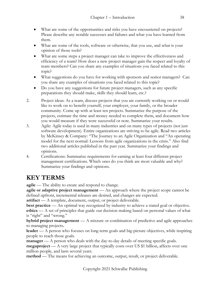- What are some of the opportunities and risks you have encountered on projects? Please describe any notable successes and failures and what you have learned from them.
- What are some of the tools, software or otherwise, that you use, and what is your opinion of those tools?
- What are some steps a project manager can take to improve the effectiveness and efficiency of a team? How does a new project manager gain the respect and loyalty of team members? Can you share any examples of situations you faced related to this topic?
- What suggestions do you have for working with sponsors and senior managers? Can you share any examples of situations you faced related to this topic?
- Do you have any suggestions for future project managers, such as any specific preparations they should make, skills they should learn, etc.?
- 2. Project ideas: As a team, discuss projects that you are currently working on or would like to work on to benefit yourself, your employer, your family, or the broader community. Come up with at least ten projects. Summarize the purpose of the projects, estimate the time and money needed to complete them, and document how you would measure if they were successful or note. Summarize your results.
- 3. Agile: Agile today is used in many industries and on many types of projects (not just software development). Entire organizations are striving to be agile. Read two articles by McKinsey & Company: "[The Journey to an Agile Organization](https://www.mckinsey.com/business-functions/organization/our-insights/the-journey-to-an-agile-organization?cid=other-eml-ttn-mip-mck&hlkid=051ff441eb834969a77560d824df6bbc&hctky=2723977&hdpid=7d90901a-d6e3-4c0d-8a7c-609a2217ae8c) and "[An operating](https://www.mckinsey.com/business-functions/organization/our-insights/an-operating-model-for-the-next-normal-lessons-from-agile-organizations-in-the-crisis)  model for the next [normal: Lessons from agile organizations in the crisis](https://www.mckinsey.com/business-functions/organization/our-insights/an-operating-model-for-the-next-normal-lessons-from-agile-organizations-in-the-crisis)." Also find two additional articles published in the past year. Summarize your findings and opinions.
- 4. Certifications: Summarize requirements for earning at least four different project management certifications. Which ones do you think are most valuable and why? Summarize your findings and opinions.

### **KEY TERMS**

**agile** — The ability to create and respond to change.

**agile or adaptive project management** — An approach where the project scope cannot be defined upfront, incremental releases are desired, and changes are expected.

**artifact** — A template, document, output, or project deliverable.

**best practice** — An optimal way recognized by industry to achieve a stated goal or objective. **ethics** — A set of principles that guide our decision making based on personal values of what is "right" and "wrong."

**hybrid project management** — A mixture or combination of predictive and agile approaches to managing projects**.**

**leader** — A person who focuses on long-term goals and big-picture objectives, while inspiring people to reach those goals.

**manager** — A person who deals with the day-to-day details of meeting specific goals. **megaproject** — A very large project that typically costs over US \$1 billion, affects over one

million people, and lasts several years.

**method** — The means for achieving an outcome, output, result, or project deliverable.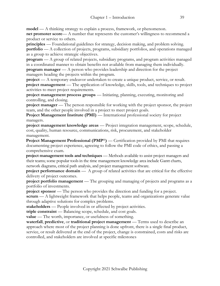**model** — A thinking strategy to explain a process, framework, or phenomenon.

**net promoter score**— A number that represents the customer's willingness to recommend a product or service to others.

**principles** — Foundational guidelines for strategy, decision making, and problem solving. **portfolio** — A collection of projects, programs, subsidiary portfolios, and operations managed as a group to achieve strategic objectives.

**program** — A group of related projects, subsidiary programs, and program activities managed in a coordinated manner to obtain benefits not available from managing them individually. **program manager** — A person who provides leadership and direction for the project managers heading the projects within the program.

**project** — A temporary endeavor undertaken to create a unique product, service, or result. **project management** — The application of knowledge, skills, tools, and techniques to project activities to meet project requirements.

**project management process groups** — Initiating, planning, executing, monitoring and controlling, and closing.

**project manager** — The person responsible for working with the project sponsor, the project team, and the other people involved in a project to meet project goals.

**Project Management Institute (PMI)** — International professional society for project managers.

**project management knowledge areas** — Project integration management, scope, schedule, cost, quality, human resource, communications, risk, procurement, and stakeholder management.

**Project Management Professional (PMP**®**)** — Certification provided by PMI that requires documenting project experience, agreeing to follow the PMI code of ethics, and passing a comprehensive exam.

**project management tools and techniques** — Methods available to assist project managers and their teams; some popular tools in the time management knowledge area include Gantt charts, network diagrams, critical path analysis, and project management software.

**project performance domain** — A group of related activities that are critical for the effective delivery of project outcomes.

**project portfolio management** — The grouping and managing of projects and programs as a portfolio of investments.

**project sponsor** — The person who provides the direction and funding for a project.

**scrum** — A lightweight framework that helps people, teams and organizations generate value through adaptive solutions for complex problems.

**stakeholders** — People involved in or affected by project activities.

**triple constraint** — Balancing scope, schedule, and cost goals.

**value** — The worth, importance, or usefulness of something.

**waterfall**, **predictive**, or **traditional project management** — Terms used to describe an approach where most of the project planning is done upfront, there is a single final product, service, or result delivered at the end of the project, change is constrained, costs and risks are controlled, and stakeholders are involved at specific milestones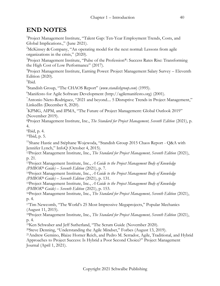### **END NOTES**

<sup>1</sup>Project Management Institute, "Talent Gap: Ten-Year Employment Trends, Costs, and Global Implications.," (June 2021).

<sup>2</sup>McKinsey & Company, "An operating model for the next normal: Lessons from agile organizations in the crisis," (2020).

 ${}^{3}P$ roject Management Institute, "Pulse of the Profession®: Success Rates Rise: Transforming the High Cost of Low Performance" (2017).

<sup>4</sup>Project Management Institute, Earning Power: Project Management Salary Survey *–* Eleventh Edition (2020).

5 Ibid.

6 Standish Group, "The CHAOS Report" (*www.standishgroup.com*) (1995).

<sup>6</sup>Manifesto for Agile Software Development (http://agilemanifesto.org) (2001).

<sup>7</sup>Antonio Nieto-Rodriguez, "2021 and beyond.... 5 Disruptive Trends in Project Management." LinkedIn (December 8, 2020).

<sup>7</sup>KPMG, AIPM, and IPMA, "The Future of Project Management: Global Outlook 2019" (November 2019).

<sup>8</sup>Project Management Institute, Inc., *The Standard for Project Management, Seventh Edition* (2021), p. 4.

<sup>9</sup>Ibid, p. 4.

<sup>10</sup>Ibid, p. 5.

<sup>11</sup>Shane Hastie and Stéphane Wojewoda, "Standish Group 2015 Chaos Report - Q&A with Jennifer Lynch," InfoQ (October 4, 2015).

<sup>12</sup>Project Management Institute, Inc., *The Standard for Project Management, Seventh Edition* (2021), p. 21.

<sup>13</sup>Project Management Institute, Inc., *A Guide to the Project Management Body of Knowledge (PMBOK*® *Guide) – Seventh Edition* (2021), p. 7.

<sup>14</sup>Project Management Institute, Inc., *A Guide to the Project Management Body of Knowledge (PMBOK*® *Guide) – Seventh Edition* (2021), p. 131.

<sup>15</sup>Project Management Institute, Inc., *A Guide to the Project Management Body of Knowledge (PMBOK*® *Guide) – Seventh Edition* (2021), p. 153.

<sup>16</sup>Project Management Institute, Inc., *The Standard for Project Management, Seventh Edition* (2021), p. 4.

<sup>17</sup>Tim Newcomb, "The World's 25 Most Impressive Megaprojects," Popular Mechanics (August 11, 2015).

<sup>18</sup>Project Management Institute, Inc., *The Standard for Project Management, Seventh Edition* (2021), p. 4.

<sup>19</sup>Ken Schwaber and Jeff Sutherland, "The Scrum Guide (November 2020).

<sup>20</sup>Steve Denning, "Understanding the Agile Mindset," Forbes (August 13, 2019).

<sup>21</sup>Andrew Gemino, Blaize Horner Reich, and Pedro M. Serrador, Agile, Traditional, and Hybrid Approaches to Project Success: Is Hybrid a Poor Second Choice?" Project Management Journal (April 1, 2021).